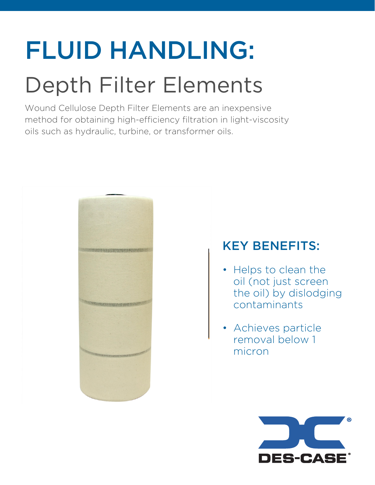# FLUID HANDLING: Depth Filter Elements

Wound Cellulose Depth Filter Elements are an inexpensive method for obtaining high-efficiency filtration in light-viscosity oils such as hydraulic, turbine, or transformer oils.



## KEY BENEFITS:

- Helps to clean the oil (not just screen the oil) by dislodging contaminants
- Achieves particle removal below 1 micron